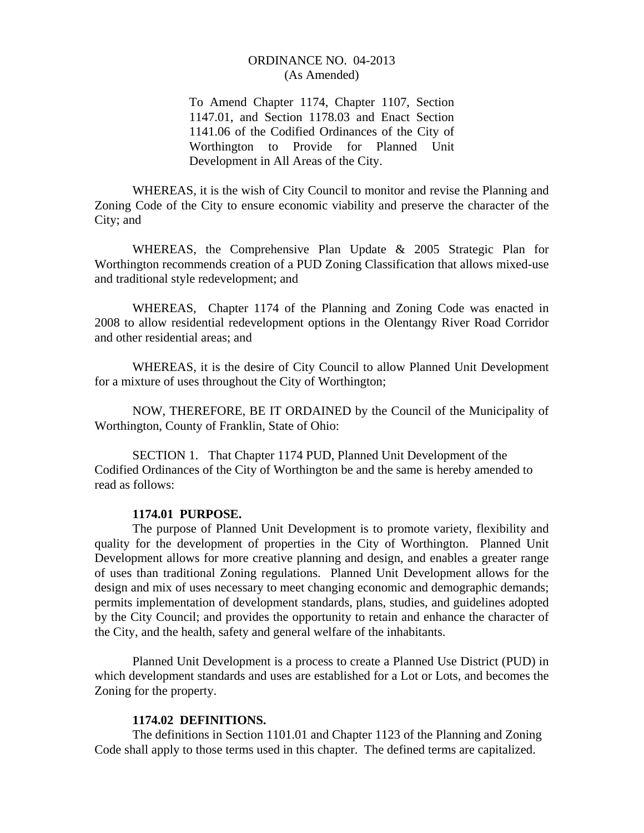To Amend Chapter 1174, Chapter 1107, Section 1147.01, and Section 1178.03 and Enact Section 1141.06 of the Codified Ordinances of the City of Worthington to Provide for Planned Unit Development in All Areas of the City.

 WHEREAS, it is the wish of City Council to monitor and revise the Planning and Zoning Code of the City to ensure economic viability and preserve the character of the City; and

WHEREAS, the Comprehensive Plan Update & 2005 Strategic Plan for Worthington recommends creation of a PUD Zoning Classification that allows mixed-use and traditional style redevelopment; and

WHEREAS, Chapter 1174 of the Planning and Zoning Code was enacted in 2008 to allow residential redevelopment options in the Olentangy River Road Corridor and other residential areas; and

WHEREAS, it is the desire of City Council to allow Planned Unit Development for a mixture of uses throughout the City of Worthington;

 NOW, THEREFORE, BE IT ORDAINED by the Council of the Municipality of Worthington, County of Franklin, State of Ohio:

SECTION 1. That Chapter 1174 PUD, Planned Unit Development of the Codified Ordinances of the City of Worthington be and the same is hereby amended to read as follows:

#### **1174.01 PURPOSE.**

The purpose of Planned Unit Development is to promote variety, flexibility and quality for the development of properties in the City of Worthington. Planned Unit Development allows for more creative planning and design, and enables a greater range of uses than traditional Zoning regulations. Planned Unit Development allows for the design and mix of uses necessary to meet changing economic and demographic demands; permits implementation of development standards, plans, studies, and guidelines adopted by the City Council; and provides the opportunity to retain and enhance the character of the City, and the health, safety and general welfare of the inhabitants.

Planned Unit Development is a process to create a Planned Use District (PUD) in which development standards and uses are established for a Lot or Lots, and becomes the Zoning for the property.

# **1174.02 DEFINITIONS.**

The definitions in Section 1101.01 and Chapter 1123 of the Planning and Zoning Code shall apply to those terms used in this chapter. The defined terms are capitalized.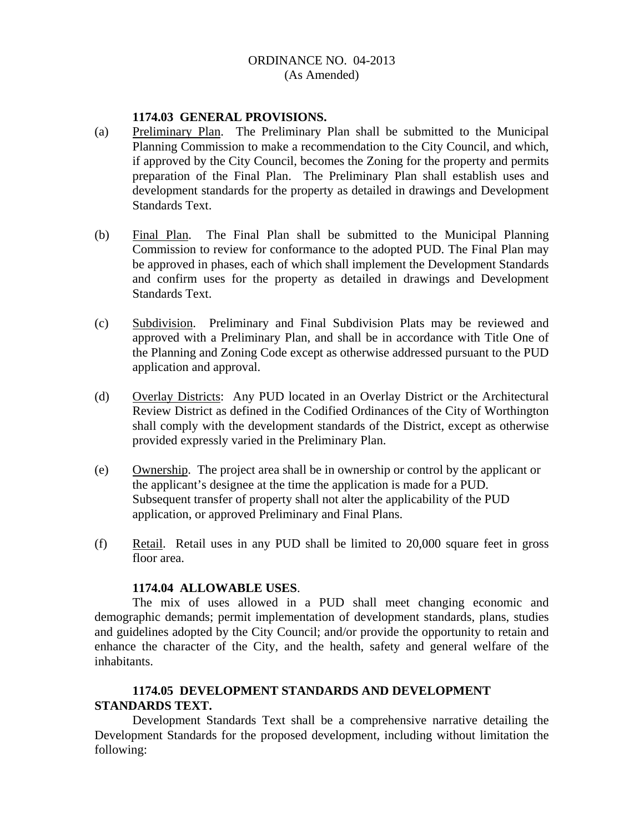#### **1174.03 GENERAL PROVISIONS.**

- (a) Preliminary Plan. The Preliminary Plan shall be submitted to the Municipal Planning Commission to make a recommendation to the City Council, and which, if approved by the City Council, becomes the Zoning for the property and permits preparation of the Final Plan. The Preliminary Plan shall establish uses and development standards for the property as detailed in drawings and Development Standards Text.
- (b) Final Plan. The Final Plan shall be submitted to the Municipal Planning Commission to review for conformance to the adopted PUD. The Final Plan may be approved in phases, each of which shall implement the Development Standards and confirm uses for the property as detailed in drawings and Development Standards Text.
- (c) Subdivision. Preliminary and Final Subdivision Plats may be reviewed and approved with a Preliminary Plan, and shall be in accordance with Title One of the Planning and Zoning Code except as otherwise addressed pursuant to the PUD application and approval.
- (d) Overlay Districts: Any PUD located in an Overlay District or the Architectural Review District as defined in the Codified Ordinances of the City of Worthington shall comply with the development standards of the District, except as otherwise provided expressly varied in the Preliminary Plan.
- (e) Ownership. The project area shall be in ownership or control by the applicant or the applicant's designee at the time the application is made for a PUD. Subsequent transfer of property shall not alter the applicability of the PUD application, or approved Preliminary and Final Plans.
- (f) Retail. Retail uses in any PUD shall be limited to 20,000 square feet in gross floor area.

#### **1174.04 ALLOWABLE USES**.

The mix of uses allowed in a PUD shall meet changing economic and demographic demands; permit implementation of development standards, plans, studies and guidelines adopted by the City Council; and/or provide the opportunity to retain and enhance the character of the City, and the health, safety and general welfare of the inhabitants.

# **1174.05 DEVELOPMENT STANDARDS AND DEVELOPMENT STANDARDS TEXT.**

Development Standards Text shall be a comprehensive narrative detailing the Development Standards for the proposed development, including without limitation the following: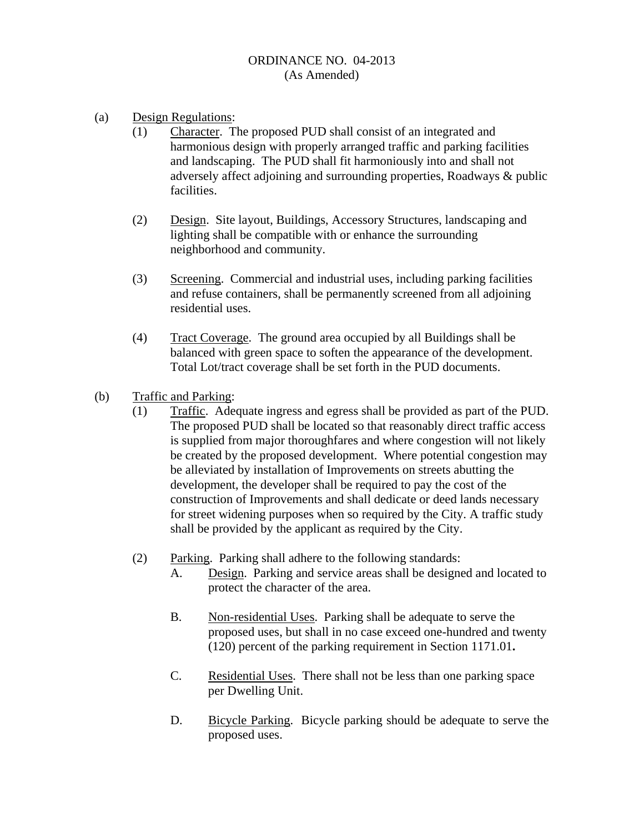- (a) Design Regulations:
	- (1) Character. The proposed PUD shall consist of an integrated and harmonious design with properly arranged traffic and parking facilities and landscaping. The PUD shall fit harmoniously into and shall not adversely affect adjoining and surrounding properties, Roadways & public facilities.
	- (2) Design. Site layout, Buildings, Accessory Structures, landscaping and lighting shall be compatible with or enhance the surrounding neighborhood and community.
	- (3) Screening. Commercial and industrial uses, including parking facilities and refuse containers, shall be permanently screened from all adjoining residential uses.
	- (4) Tract Coverage. The ground area occupied by all Buildings shall be balanced with green space to soften the appearance of the development. Total Lot/tract coverage shall be set forth in the PUD documents.
- (b) Traffic and Parking:
	- (1) Traffic. Adequate ingress and egress shall be provided as part of the PUD. The proposed PUD shall be located so that reasonably direct traffic access is supplied from major thoroughfares and where congestion will not likely be created by the proposed development. Where potential congestion may be alleviated by installation of Improvements on streets abutting the development, the developer shall be required to pay the cost of the construction of Improvements and shall dedicate or deed lands necessary for street widening purposes when so required by the City. A traffic study shall be provided by the applicant as required by the City.
	- (2) Parking. Parking shall adhere to the following standards:
		- A. Design. Parking and service areas shall be designed and located to protect the character of the area.
		- B. Non-residential Uses. Parking shall be adequate to serve the proposed uses, but shall in no case exceed one-hundred and twenty (120) percent of the parking requirement in Section 1171.01**.**
		- C. Residential Uses. There shall not be less than one parking space per Dwelling Unit.
		- D. Bicycle Parking. Bicycle parking should be adequate to serve the proposed uses.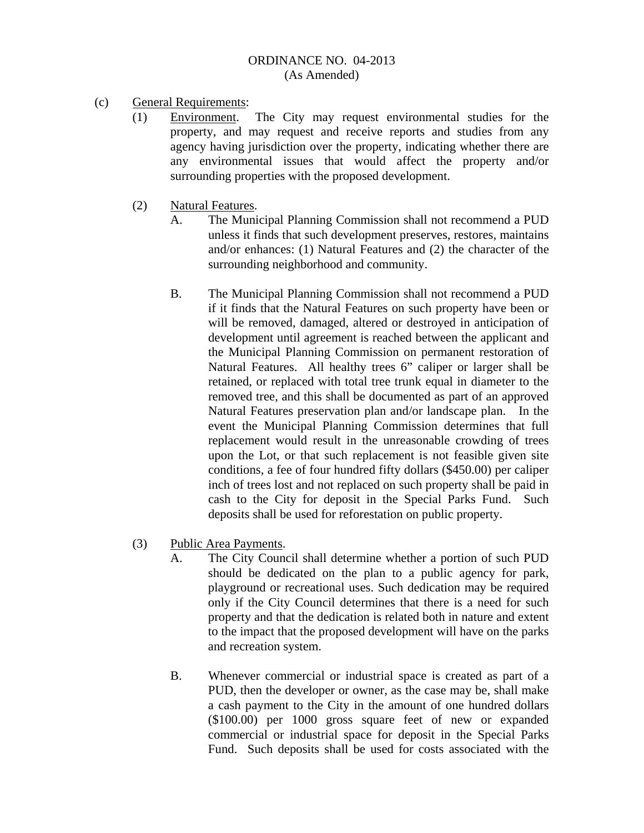- (c) General Requirements:
	- (1) Environment. The City may request environmental studies for the property, and may request and receive reports and studies from any agency having jurisdiction over the property, indicating whether there are any environmental issues that would affect the property and/or surrounding properties with the proposed development.
	- (2) Natural Features.
		- A. The Municipal Planning Commission shall not recommend a PUD unless it finds that such development preserves, restores, maintains and/or enhances: (1) Natural Features and (2) the character of the surrounding neighborhood and community.
		- B. The Municipal Planning Commission shall not recommend a PUD if it finds that the Natural Features on such property have been or will be removed, damaged, altered or destroyed in anticipation of development until agreement is reached between the applicant and the Municipal Planning Commission on permanent restoration of Natural Features. All healthy trees 6" caliper or larger shall be retained, or replaced with total tree trunk equal in diameter to the removed tree, and this shall be documented as part of an approved Natural Features preservation plan and/or landscape plan. In the event the Municipal Planning Commission determines that full replacement would result in the unreasonable crowding of trees upon the Lot, or that such replacement is not feasible given site conditions, a fee of four hundred fifty dollars (\$450.00) per caliper inch of trees lost and not replaced on such property shall be paid in cash to the City for deposit in the Special Parks Fund. Such deposits shall be used for reforestation on public property.
	- (3) Public Area Payments.
		- A. The City Council shall determine whether a portion of such PUD should be dedicated on the plan to a public agency for park, playground or recreational uses. Such dedication may be required only if the City Council determines that there is a need for such property and that the dedication is related both in nature and extent to the impact that the proposed development will have on the parks and recreation system.
		- B. Whenever commercial or industrial space is created as part of a PUD, then the developer or owner, as the case may be, shall make a cash payment to the City in the amount of one hundred dollars (\$100.00) per 1000 gross square feet of new or expanded commercial or industrial space for deposit in the Special Parks Fund. Such deposits shall be used for costs associated with the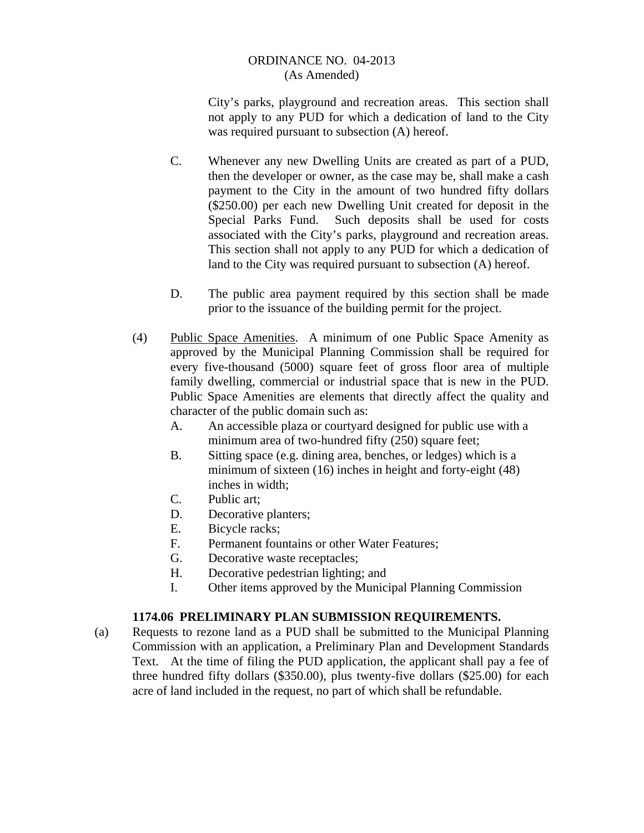City's parks, playground and recreation areas. This section shall not apply to any PUD for which a dedication of land to the City was required pursuant to subsection (A) hereof.

- C. Whenever any new Dwelling Units are created as part of a PUD, then the developer or owner, as the case may be, shall make a cash payment to the City in the amount of two hundred fifty dollars (\$250.00) per each new Dwelling Unit created for deposit in the Special Parks Fund. Such deposits shall be used for costs associated with the City's parks, playground and recreation areas. This section shall not apply to any PUD for which a dedication of land to the City was required pursuant to subsection (A) hereof.
- D. The public area payment required by this section shall be made prior to the issuance of the building permit for the project.
- (4) Public Space Amenities. A minimum of one Public Space Amenity as approved by the Municipal Planning Commission shall be required for every five-thousand (5000) square feet of gross floor area of multiple family dwelling, commercial or industrial space that is new in the PUD. Public Space Amenities are elements that directly affect the quality and character of the public domain such as:
	- A. An accessible plaza or courtyard designed for public use with a minimum area of two-hundred fifty (250) square feet:
	- B. Sitting space (e.g. dining area, benches, or ledges) which is a minimum of sixteen (16) inches in height and forty-eight (48) inches in width;
	- C. Public art;
	- D. Decorative planters;
	- E. Bicycle racks;
	- F. Permanent fountains or other Water Features;
	- G. Decorative waste receptacles;
	- H. Decorative pedestrian lighting; and
	- I. Other items approved by the Municipal Planning Commission

# **1174.06 PRELIMINARY PLAN SUBMISSION REQUIREMENTS.**

(a) Requests to rezone land as a PUD shall be submitted to the Municipal Planning Commission with an application, a Preliminary Plan and Development Standards Text. At the time of filing the PUD application, the applicant shall pay a fee of three hundred fifty dollars (\$350.00), plus twenty-five dollars (\$25.00) for each acre of land included in the request, no part of which shall be refundable.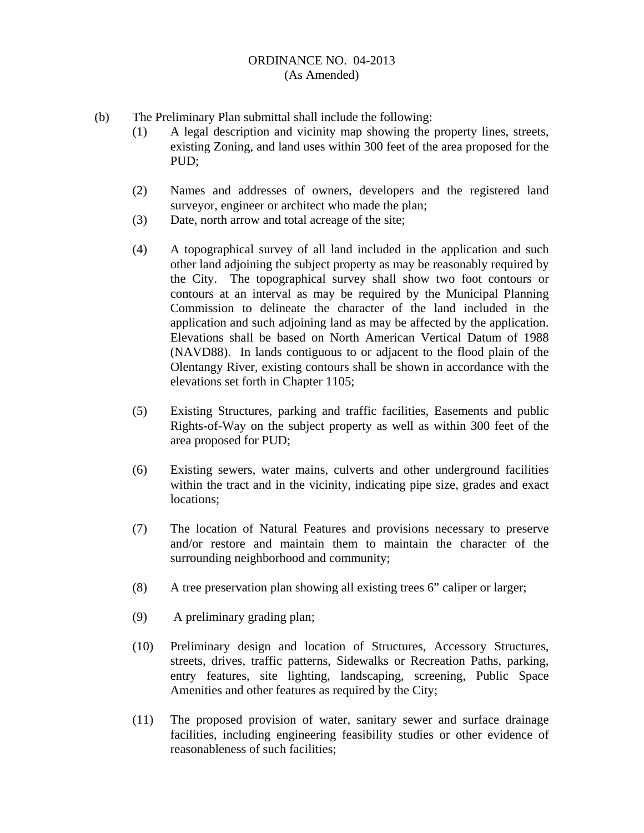- (b) The Preliminary Plan submittal shall include the following:
	- (1) A legal description and vicinity map showing the property lines, streets, existing Zoning, and land uses within 300 feet of the area proposed for the PUD;
	- (2) Names and addresses of owners, developers and the registered land surveyor, engineer or architect who made the plan;
	- (3) Date, north arrow and total acreage of the site;
	- (4) A topographical survey of all land included in the application and such other land adjoining the subject property as may be reasonably required by the City. The topographical survey shall show two foot contours or contours at an interval as may be required by the Municipal Planning Commission to delineate the character of the land included in the application and such adjoining land as may be affected by the application. Elevations shall be based on North American Vertical Datum of 1988 (NAVD88). In lands contiguous to or adjacent to the flood plain of the Olentangy River, existing contours shall be shown in accordance with the elevations set forth in Chapter 1105;
	- (5) Existing Structures, parking and traffic facilities, Easements and public Rights-of-Way on the subject property as well as within 300 feet of the area proposed for PUD;
	- (6) Existing sewers, water mains, culverts and other underground facilities within the tract and in the vicinity, indicating pipe size, grades and exact locations;
	- (7) The location of Natural Features and provisions necessary to preserve and/or restore and maintain them to maintain the character of the surrounding neighborhood and community;
	- (8) A tree preservation plan showing all existing trees 6" caliper or larger;
	- (9) A preliminary grading plan;
	- (10) Preliminary design and location of Structures, Accessory Structures, streets, drives, traffic patterns, Sidewalks or Recreation Paths, parking, entry features, site lighting, landscaping, screening, Public Space Amenities and other features as required by the City;
	- (11) The proposed provision of water, sanitary sewer and surface drainage facilities, including engineering feasibility studies or other evidence of reasonableness of such facilities;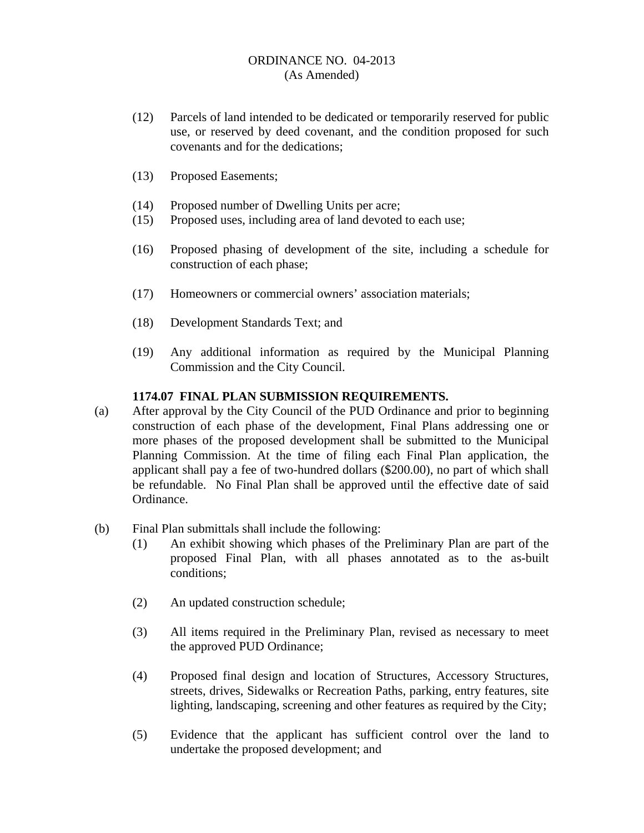- (12) Parcels of land intended to be dedicated or temporarily reserved for public use, or reserved by deed covenant, and the condition proposed for such covenants and for the dedications;
- (13) Proposed Easements;
- (14) Proposed number of Dwelling Units per acre;
- (15) Proposed uses, including area of land devoted to each use;
- (16) Proposed phasing of development of the site, including a schedule for construction of each phase;
- (17) Homeowners or commercial owners' association materials;
- (18) Development Standards Text; and
- (19) Any additional information as required by the Municipal Planning Commission and the City Council.

# **1174.07 FINAL PLAN SUBMISSION REQUIREMENTS.**

- (a) After approval by the City Council of the PUD Ordinance and prior to beginning construction of each phase of the development, Final Plans addressing one or more phases of the proposed development shall be submitted to the Municipal Planning Commission. At the time of filing each Final Plan application, the applicant shall pay a fee of two-hundred dollars (\$200.00), no part of which shall be refundable. No Final Plan shall be approved until the effective date of said Ordinance.
- (b) Final Plan submittals shall include the following:
	- (1) An exhibit showing which phases of the Preliminary Plan are part of the proposed Final Plan, with all phases annotated as to the as-built conditions;
	- (2) An updated construction schedule;
	- (3) All items required in the Preliminary Plan, revised as necessary to meet the approved PUD Ordinance;
	- (4) Proposed final design and location of Structures, Accessory Structures, streets, drives, Sidewalks or Recreation Paths, parking, entry features, site lighting, landscaping, screening and other features as required by the City;
	- (5) Evidence that the applicant has sufficient control over the land to undertake the proposed development; and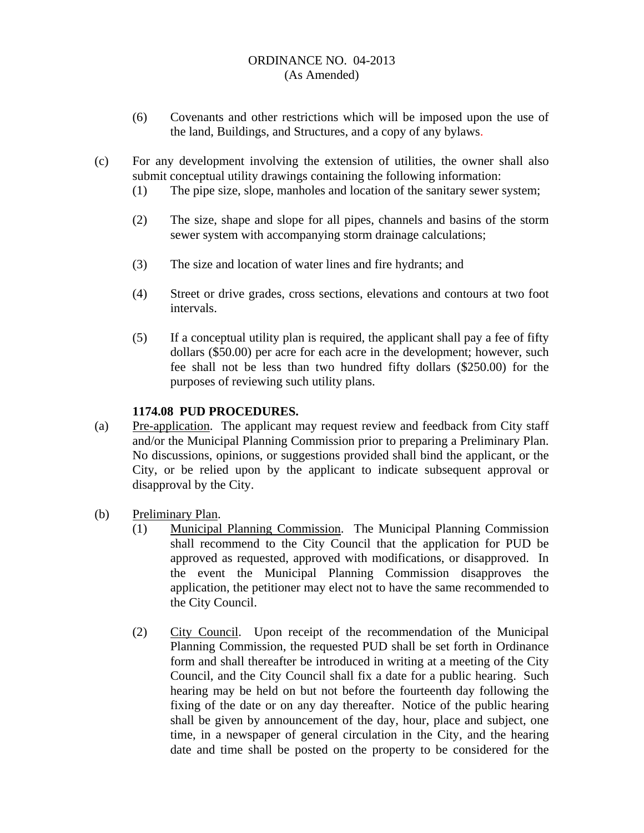- (6) Covenants and other restrictions which will be imposed upon the use of the land, Buildings, and Structures, and a copy of any bylaws.
- (c) For any development involving the extension of utilities, the owner shall also submit conceptual utility drawings containing the following information:
	- (1) The pipe size, slope, manholes and location of the sanitary sewer system;
	- (2) The size, shape and slope for all pipes, channels and basins of the storm sewer system with accompanying storm drainage calculations;
	- (3) The size and location of water lines and fire hydrants; and
	- (4) Street or drive grades, cross sections, elevations and contours at two foot intervals.
	- (5) If a conceptual utility plan is required, the applicant shall pay a fee of fifty dollars (\$50.00) per acre for each acre in the development; however, such fee shall not be less than two hundred fifty dollars (\$250.00) for the purposes of reviewing such utility plans.

# **1174.08 PUD PROCEDURES.**

- (a) Pre-application. The applicant may request review and feedback from City staff and/or the Municipal Planning Commission prior to preparing a Preliminary Plan. No discussions, opinions, or suggestions provided shall bind the applicant, or the City, or be relied upon by the applicant to indicate subsequent approval or disapproval by the City.
- (b) Preliminary Plan.
	- (1) Municipal Planning Commission. The Municipal Planning Commission shall recommend to the City Council that the application for PUD be approved as requested, approved with modifications, or disapproved. In the event the Municipal Planning Commission disapproves the application, the petitioner may elect not to have the same recommended to the City Council.
	- (2) City Council. Upon receipt of the recommendation of the Municipal Planning Commission, the requested PUD shall be set forth in Ordinance form and shall thereafter be introduced in writing at a meeting of the City Council, and the City Council shall fix a date for a public hearing. Such hearing may be held on but not before the fourteenth day following the fixing of the date or on any day thereafter. Notice of the public hearing shall be given by announcement of the day, hour, place and subject, one time, in a newspaper of general circulation in the City, and the hearing date and time shall be posted on the property to be considered for the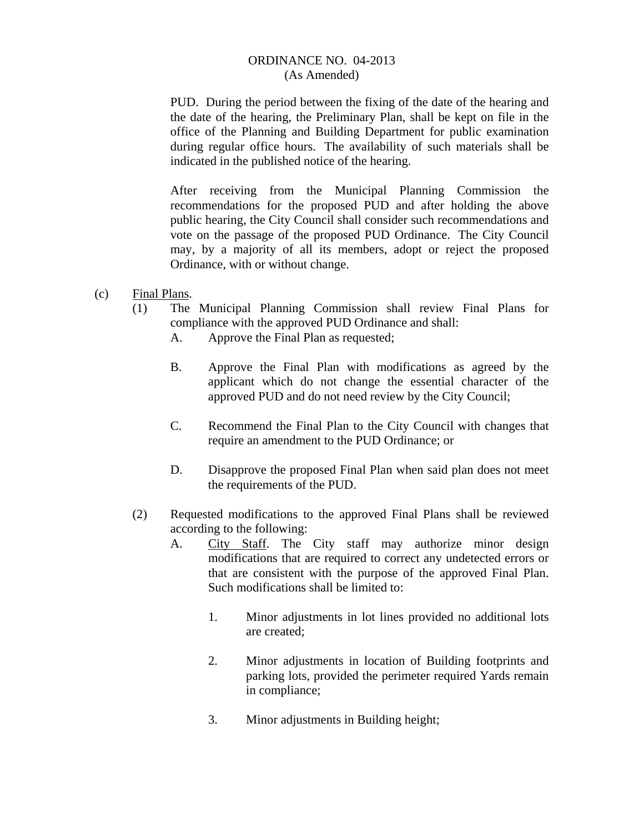PUD. During the period between the fixing of the date of the hearing and the date of the hearing, the Preliminary Plan, shall be kept on file in the office of the Planning and Building Department for public examination during regular office hours. The availability of such materials shall be indicated in the published notice of the hearing.

 After receiving from the Municipal Planning Commission the recommendations for the proposed PUD and after holding the above public hearing, the City Council shall consider such recommendations and vote on the passage of the proposed PUD Ordinance. The City Council may, by a majority of all its members, adopt or reject the proposed Ordinance, with or without change.

- (c) Final Plans.
	- (1) The Municipal Planning Commission shall review Final Plans for compliance with the approved PUD Ordinance and shall:
		- A. Approve the Final Plan as requested;
		- B. Approve the Final Plan with modifications as agreed by the applicant which do not change the essential character of the approved PUD and do not need review by the City Council;
		- C. Recommend the Final Plan to the City Council with changes that require an amendment to the PUD Ordinance; or
		- D. Disapprove the proposed Final Plan when said plan does not meet the requirements of the PUD.
	- (2) Requested modifications to the approved Final Plans shall be reviewed according to the following:
		- A. City Staff. The City staff may authorize minor design modifications that are required to correct any undetected errors or that are consistent with the purpose of the approved Final Plan. Such modifications shall be limited to:
			- 1. Minor adjustments in lot lines provided no additional lots are created;
			- 2. Minor adjustments in location of Building footprints and parking lots, provided the perimeter required Yards remain in compliance;
			- 3. Minor adjustments in Building height;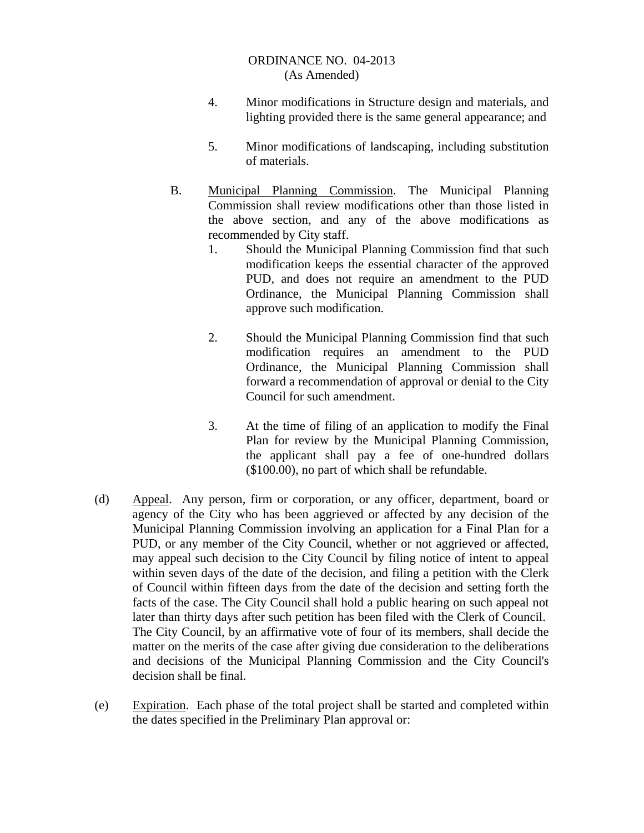- 4. Minor modifications in Structure design and materials, and lighting provided there is the same general appearance; and
- 5. Minor modifications of landscaping, including substitution of materials.
- B. Municipal Planning Commission. The Municipal Planning Commission shall review modifications other than those listed in the above section, and any of the above modifications as recommended by City staff.
	- 1. Should the Municipal Planning Commission find that such modification keeps the essential character of the approved PUD, and does not require an amendment to the PUD Ordinance, the Municipal Planning Commission shall approve such modification.
	- 2. Should the Municipal Planning Commission find that such modification requires an amendment to the PUD Ordinance, the Municipal Planning Commission shall forward a recommendation of approval or denial to the City Council for such amendment.
	- 3. At the time of filing of an application to modify the Final Plan for review by the Municipal Planning Commission, the applicant shall pay a fee of one-hundred dollars (\$100.00), no part of which shall be refundable.
- (d) Appeal. Any person, firm or corporation, or any officer, department, board or agency of the City who has been aggrieved or affected by any decision of the Municipal Planning Commission involving an application for a Final Plan for a PUD, or any member of the City Council, whether or not aggrieved or affected, may appeal such decision to the City Council by filing notice of intent to appeal within seven days of the date of the decision, and filing a petition with the Clerk of Council within fifteen days from the date of the decision and setting forth the facts of the case. The City Council shall hold a public hearing on such appeal not later than thirty days after such petition has been filed with the Clerk of Council. The City Council, by an affirmative vote of four of its members, shall decide the matter on the merits of the case after giving due consideration to the deliberations and decisions of the Municipal Planning Commission and the City Council's decision shall be final.
- (e) Expiration. Each phase of the total project shall be started and completed within the dates specified in the Preliminary Plan approval or: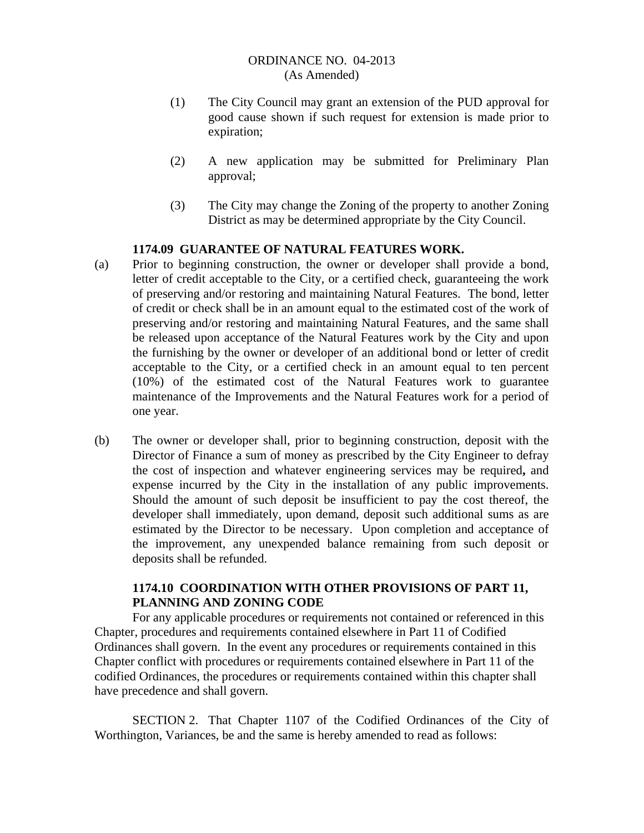- (1) The City Council may grant an extension of the PUD approval for good cause shown if such request for extension is made prior to expiration;
- (2) A new application may be submitted for Preliminary Plan approval;
- (3) The City may change the Zoning of the property to another Zoning District as may be determined appropriate by the City Council.

# **1174.09 GUARANTEE OF NATURAL FEATURES WORK.**

- (a) Prior to beginning construction, the owner or developer shall provide a bond, letter of credit acceptable to the City, or a certified check, guaranteeing the work of preserving and/or restoring and maintaining Natural Features. The bond, letter of credit or check shall be in an amount equal to the estimated cost of the work of preserving and/or restoring and maintaining Natural Features, and the same shall be released upon acceptance of the Natural Features work by the City and upon the furnishing by the owner or developer of an additional bond or letter of credit acceptable to the City, or a certified check in an amount equal to ten percent (10%) of the estimated cost of the Natural Features work to guarantee maintenance of the Improvements and the Natural Features work for a period of one year.
- (b) The owner or developer shall, prior to beginning construction, deposit with the Director of Finance a sum of money as prescribed by the City Engineer to defray the cost of inspection and whatever engineering services may be required**,** and expense incurred by the City in the installation of any public improvements. Should the amount of such deposit be insufficient to pay the cost thereof, the developer shall immediately, upon demand, deposit such additional sums as are estimated by the Director to be necessary. Upon completion and acceptance of the improvement, any unexpended balance remaining from such deposit or deposits shall be refunded.

# **1174.10 COORDINATION WITH OTHER PROVISIONS OF PART 11, PLANNING AND ZONING CODE**

For any applicable procedures or requirements not contained or referenced in this Chapter, procedures and requirements contained elsewhere in Part 11 of Codified Ordinances shall govern. In the event any procedures or requirements contained in this Chapter conflict with procedures or requirements contained elsewhere in Part 11 of the codified Ordinances, the procedures or requirements contained within this chapter shall have precedence and shall govern.

SECTION 2. That Chapter 1107 of the Codified Ordinances of the City of Worthington, Variances, be and the same is hereby amended to read as follows: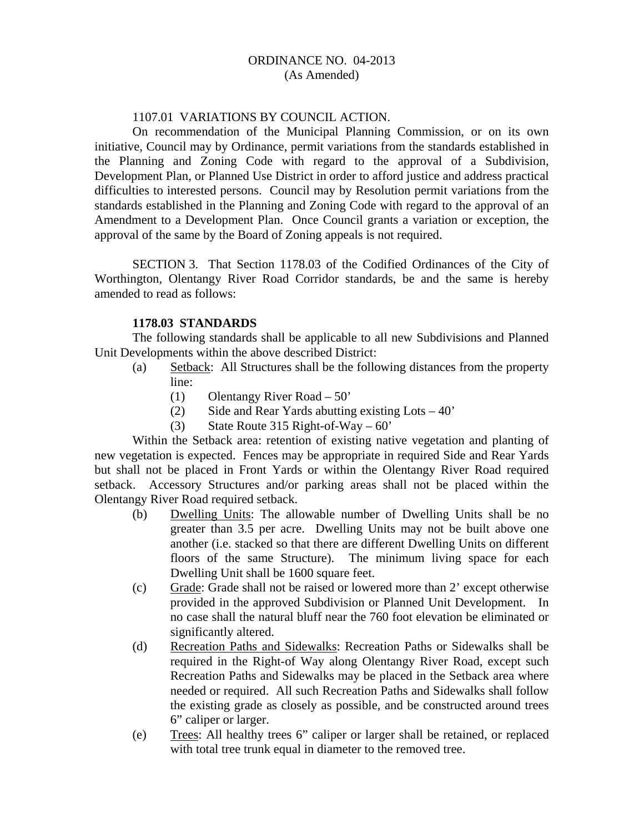### 1107.01 VARIATIONS BY COUNCIL ACTION.

On recommendation of the Municipal Planning Commission, or on its own initiative, Council may by Ordinance, permit variations from the standards established in the Planning and Zoning Code with regard to the approval of a Subdivision, Development Plan, or Planned Use District in order to afford justice and address practical difficulties to interested persons. Council may by Resolution permit variations from the standards established in the Planning and Zoning Code with regard to the approval of an Amendment to a Development Plan. Once Council grants a variation or exception, the approval of the same by the Board of Zoning appeals is not required.

SECTION 3. That Section 1178.03 of the Codified Ordinances of the City of Worthington, Olentangy River Road Corridor standards, be and the same is hereby amended to read as follows:

#### **1178.03 STANDARDS**

The following standards shall be applicable to all new Subdivisions and Planned Unit Developments within the above described District:

- (a) Setback: All Structures shall be the following distances from the property line:
	- (1) Olentangy River Road 50'
	- (2) Side and Rear Yards abutting existing  $\text{Lots} 40'$
	- (3) State Route 315 Right-of-Way  $60'$

Within the Setback area: retention of existing native vegetation and planting of new vegetation is expected. Fences may be appropriate in required Side and Rear Yards but shall not be placed in Front Yards or within the Olentangy River Road required setback. Accessory Structures and/or parking areas shall not be placed within the Olentangy River Road required setback.

- (b) Dwelling Units: The allowable number of Dwelling Units shall be no greater than 3.5 per acre. Dwelling Units may not be built above one another (i.e. stacked so that there are different Dwelling Units on different floors of the same Structure). The minimum living space for each Dwelling Unit shall be 1600 square feet.
- (c) Grade: Grade shall not be raised or lowered more than 2' except otherwise provided in the approved Subdivision or Planned Unit Development. In no case shall the natural bluff near the 760 foot elevation be eliminated or significantly altered.
- (d) Recreation Paths and Sidewalks: Recreation Paths or Sidewalks shall be required in the Right-of Way along Olentangy River Road, except such Recreation Paths and Sidewalks may be placed in the Setback area where needed or required. All such Recreation Paths and Sidewalks shall follow the existing grade as closely as possible, and be constructed around trees 6" caliper or larger.
- (e) Trees: All healthy trees 6" caliper or larger shall be retained, or replaced with total tree trunk equal in diameter to the removed tree.